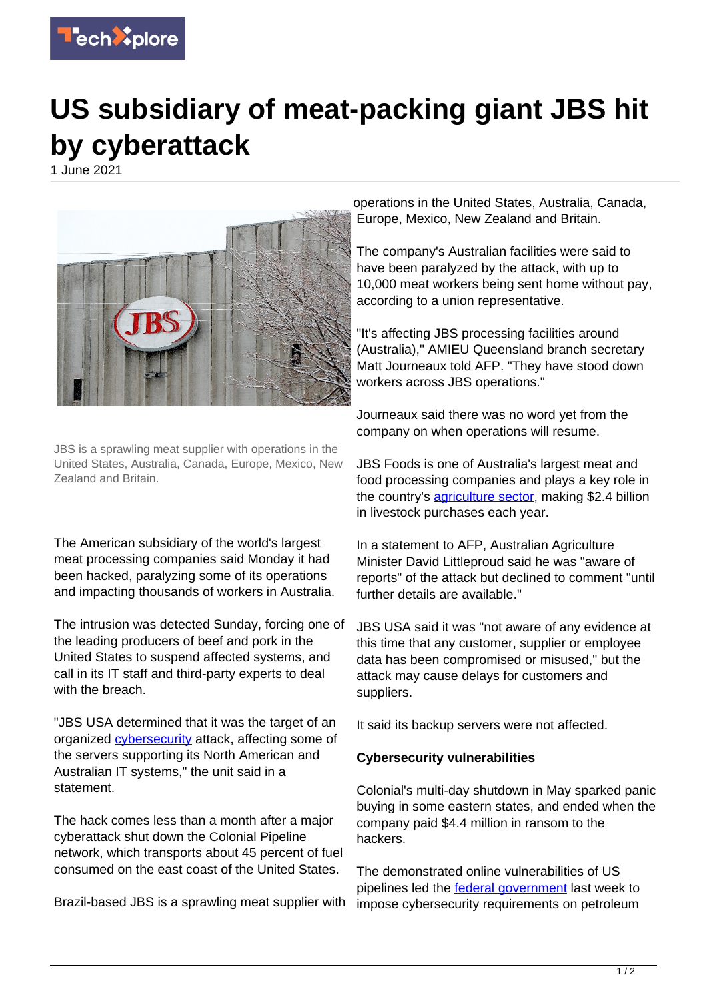

## **US subsidiary of meat-packing giant JBS hit by cyberattack**

1 June 2021



JBS is a sprawling meat supplier with operations in the United States, Australia, Canada, Europe, Mexico, New Zealand and Britain.

The American subsidiary of the world's largest meat processing companies said Monday it had been hacked, paralyzing some of its operations and impacting thousands of workers in Australia.

The intrusion was detected Sunday, forcing one of the leading producers of beef and pork in the United States to suspend affected systems, and call in its IT staff and third-party experts to deal with the breach.

"JBS USA determined that it was the target of an organized [cybersecurity](https://techxplore.com/tags/cybersecurity/) attack, affecting some of the servers supporting its North American and Australian IT systems," the unit said in a statement.

The hack comes less than a month after a major cyberattack shut down the Colonial Pipeline network, which transports about 45 percent of fuel consumed on the east coast of the United States.

Brazil-based JBS is a sprawling meat supplier with

operations in the United States, Australia, Canada, Europe, Mexico, New Zealand and Britain.

The company's Australian facilities were said to have been paralyzed by the attack, with up to 10,000 meat workers being sent home without pay, according to a union representative.

"It's affecting JBS processing facilities around (Australia)," AMIEU Queensland branch secretary Matt Journeaux told AFP. "They have stood down workers across JBS operations."

Journeaux said there was no word yet from the company on when operations will resume.

JBS Foods is one of Australia's largest meat and food processing companies and plays a key role in the country's [agriculture sector,](https://techxplore.com/tags/agriculture+sector/) making \$2.4 billion in livestock purchases each year.

In a statement to AFP, Australian Agriculture Minister David Littleproud said he was "aware of reports" of the attack but declined to comment "until further details are available."

JBS USA said it was "not aware of any evidence at this time that any customer, supplier or employee data has been compromised or misused," but the attack may cause delays for customers and suppliers.

It said its backup servers were not affected.

## **Cybersecurity vulnerabilities**

Colonial's multi-day shutdown in May sparked panic buying in some eastern states, and ended when the company paid \$4.4 million in ransom to the hackers.

The demonstrated online vulnerabilities of US pipelines led the [federal government](https://techxplore.com/tags/federal+government/) last week to impose cybersecurity requirements on petroleum